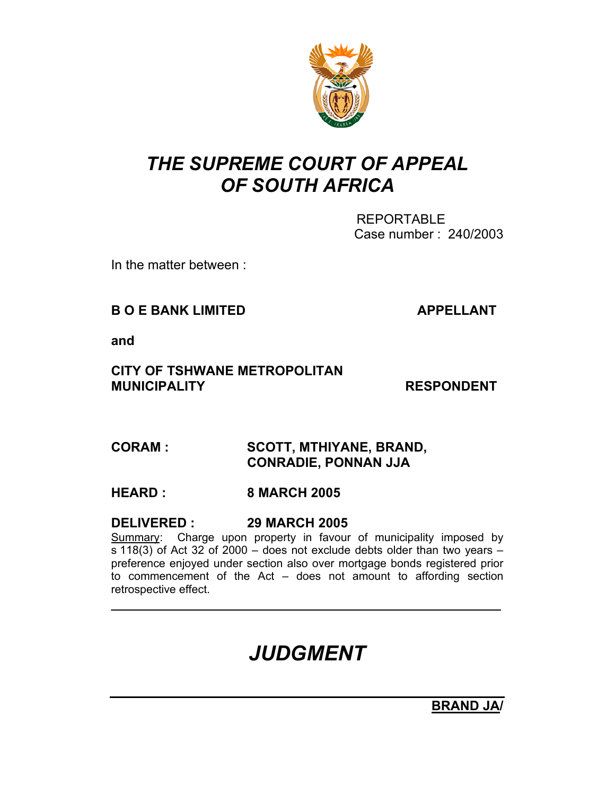

## *THE SUPREME COURT OF APPEAL OF SOUTH AFRICA*

 REPORTABLE Case number : 240/2003

In the matter between :

#### **B O E BANK LIMITED APPELLANT**

**and** 

#### **CITY OF TSHWANE METROPOLITAN MUNICIPALITY RESPONDENT**

### **CORAM : SCOTT, MTHIYANE, BRAND, CONRADIE, PONNAN JJA**

#### **HEARD : 8 MARCH 2005**

#### **DELIVERED : 29 MARCH 2005**

Summary: Charge upon property in favour of municipality imposed by  $\overline{s}$  118(3) of Act 32 of 2000 – does not exclude debts older than two years – preference enjoyed under section also over mortgage bonds registered prior to commencement of the Act – does not amount to affording section retrospective effect.

 $\mathcal{L}_\text{max} = \mathcal{L}_\text{max} = \mathcal{L}_\text{max} = \mathcal{L}_\text{max} = \mathcal{L}_\text{max} = \mathcal{L}_\text{max} = \mathcal{L}_\text{max} = \mathcal{L}_\text{max} = \mathcal{L}_\text{max} = \mathcal{L}_\text{max} = \mathcal{L}_\text{max} = \mathcal{L}_\text{max} = \mathcal{L}_\text{max} = \mathcal{L}_\text{max} = \mathcal{L}_\text{max} = \mathcal{L}_\text{max} = \mathcal{L}_\text{max} = \mathcal{L}_\text{max} = \mathcal{$ 

# *JUDGMENT*

**BRAND JA/**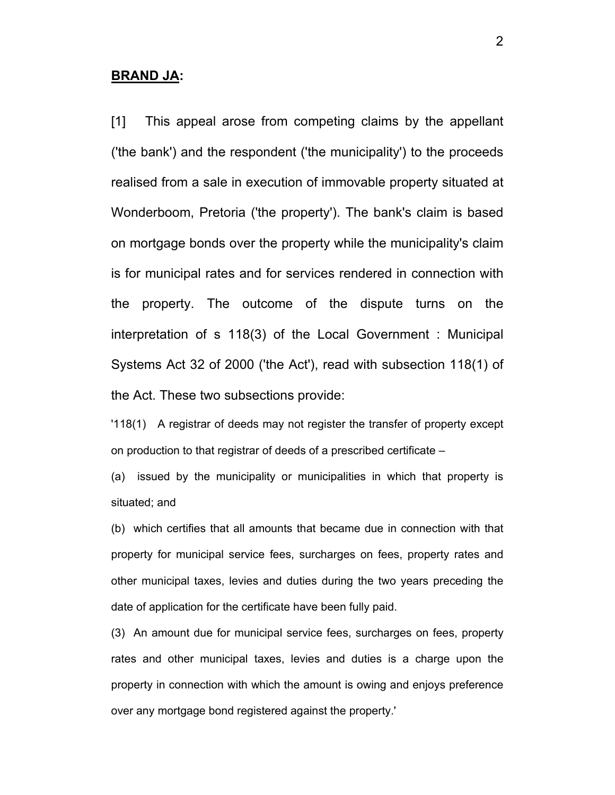#### **BRAND JA:**

[1] This appeal arose from competing claims by the appellant ('the bank') and the respondent ('the municipality') to the proceeds realised from a sale in execution of immovable property situated at Wonderboom, Pretoria ('the property'). The bank's claim is based on mortgage bonds over the property while the municipality's claim is for municipal rates and for services rendered in connection with the property. The outcome of the dispute turns on the interpretation of s 118(3) of the Local Government : Municipal Systems Act 32 of 2000 ('the Act'), read with subsection 118(1) of the Act. These two subsections provide:

'118(1) A registrar of deeds may not register the transfer of property except on production to that registrar of deeds of a prescribed certificate –

(a) issued by the municipality or municipalities in which that property is situated; and

(b) which certifies that all amounts that became due in connection with that property for municipal service fees, surcharges on fees, property rates and other municipal taxes, levies and duties during the two years preceding the date of application for the certificate have been fully paid.

(3) An amount due for municipal service fees, surcharges on fees, property rates and other municipal taxes, levies and duties is a charge upon the property in connection with which the amount is owing and enjoys preference over any mortgage bond registered against the property.'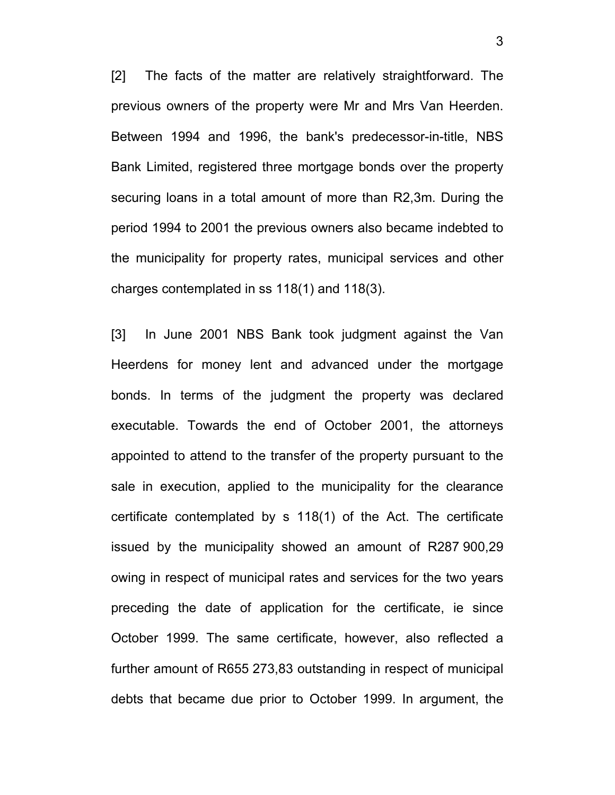[2] The facts of the matter are relatively straightforward. The previous owners of the property were Mr and Mrs Van Heerden. Between 1994 and 1996, the bank's predecessor-in-title, NBS Bank Limited, registered three mortgage bonds over the property securing loans in a total amount of more than R2,3m. During the period 1994 to 2001 the previous owners also became indebted to the municipality for property rates, municipal services and other charges contemplated in ss 118(1) and 118(3).

[3] In June 2001 NBS Bank took judgment against the Van Heerdens for money lent and advanced under the mortgage bonds. In terms of the judgment the property was declared executable. Towards the end of October 2001, the attorneys appointed to attend to the transfer of the property pursuant to the sale in execution, applied to the municipality for the clearance certificate contemplated by s 118(1) of the Act. The certificate issued by the municipality showed an amount of R287 900,29 owing in respect of municipal rates and services for the two years preceding the date of application for the certificate, ie since October 1999. The same certificate, however, also reflected a further amount of R655 273,83 outstanding in respect of municipal debts that became due prior to October 1999. In argument, the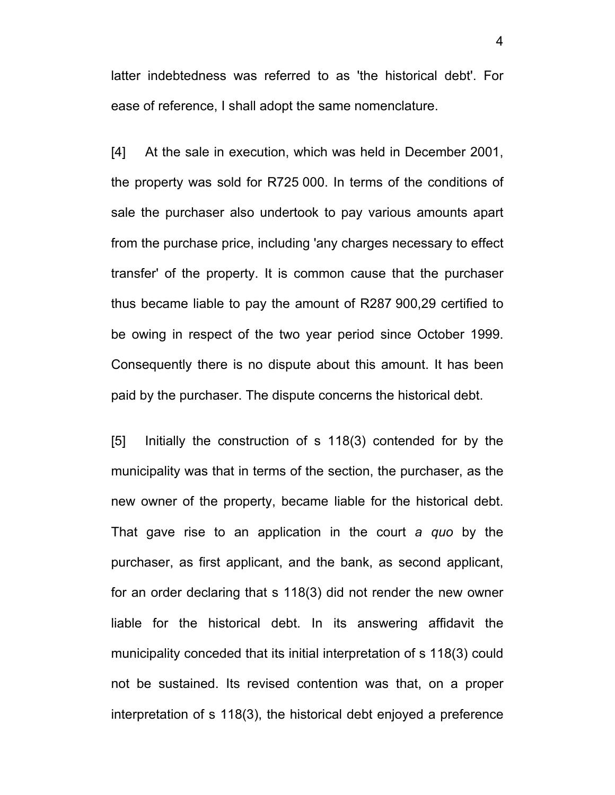latter indebtedness was referred to as 'the historical debt'. For ease of reference, I shall adopt the same nomenclature.

[4] At the sale in execution, which was held in December 2001, the property was sold for R725 000. In terms of the conditions of sale the purchaser also undertook to pay various amounts apart from the purchase price, including 'any charges necessary to effect transfer' of the property. It is common cause that the purchaser thus became liable to pay the amount of R287 900,29 certified to be owing in respect of the two year period since October 1999. Consequently there is no dispute about this amount. It has been paid by the purchaser. The dispute concerns the historical debt.

[5] Initially the construction of s 118(3) contended for by the municipality was that in terms of the section, the purchaser, as the new owner of the property, became liable for the historical debt. That gave rise to an application in the court *a quo* by the purchaser, as first applicant, and the bank, as second applicant, for an order declaring that s 118(3) did not render the new owner liable for the historical debt. In its answering affidavit the municipality conceded that its initial interpretation of s 118(3) could not be sustained. Its revised contention was that, on a proper interpretation of s 118(3), the historical debt enjoyed a preference

4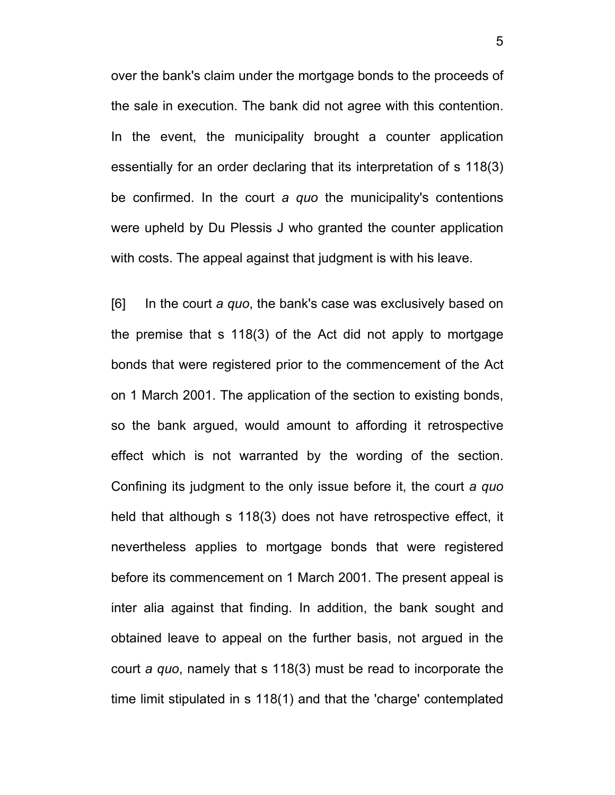over the bank's claim under the mortgage bonds to the proceeds of the sale in execution. The bank did not agree with this contention. In the event, the municipality brought a counter application essentially for an order declaring that its interpretation of s 118(3) be confirmed. In the court *a quo* the municipality's contentions were upheld by Du Plessis J who granted the counter application with costs. The appeal against that judgment is with his leave.

[6] In the court *a quo*, the bank's case was exclusively based on the premise that s 118(3) of the Act did not apply to mortgage bonds that were registered prior to the commencement of the Act on 1 March 2001. The application of the section to existing bonds, so the bank argued, would amount to affording it retrospective effect which is not warranted by the wording of the section. Confining its judgment to the only issue before it, the court *a quo* held that although s 118(3) does not have retrospective effect, it nevertheless applies to mortgage bonds that were registered before its commencement on 1 March 2001. The present appeal is inter alia against that finding. In addition, the bank sought and obtained leave to appeal on the further basis, not argued in the court *a quo*, namely that s 118(3) must be read to incorporate the time limit stipulated in s 118(1) and that the 'charge' contemplated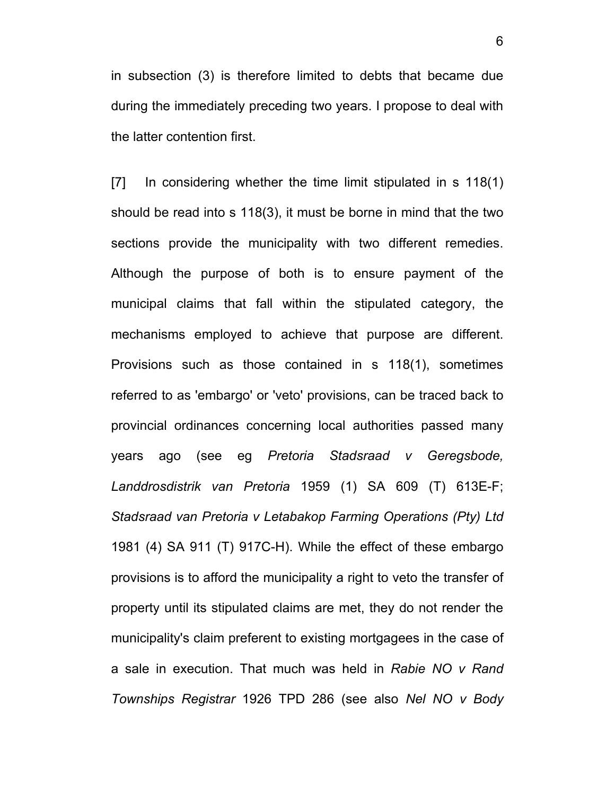in subsection (3) is therefore limited to debts that became due during the immediately preceding two years. I propose to deal with the latter contention first.

[7] In considering whether the time limit stipulated in s 118(1) should be read into s 118(3), it must be borne in mind that the two sections provide the municipality with two different remedies. Although the purpose of both is to ensure payment of the municipal claims that fall within the stipulated category, the mechanisms employed to achieve that purpose are different. Provisions such as those contained in s 118(1), sometimes referred to as 'embargo' or 'veto' provisions, can be traced back to provincial ordinances concerning local authorities passed many years ago (see eg *Pretoria Stadsraad v Geregsbode, Landdrosdistrik van Pretoria* 1959 (1) SA 609 (T) 613E-F; *Stadsraad van Pretoria v Letabakop Farming Operations (Pty) Ltd*  1981 (4) SA 911 (T) 917C-H). While the effect of these embargo provisions is to afford the municipality a right to veto the transfer of property until its stipulated claims are met, they do not render the municipality's claim preferent to existing mortgagees in the case of a sale in execution. That much was held in *Rabie NO v Rand Townships Registrar* 1926 TPD 286 (see also *Nel NO v Body*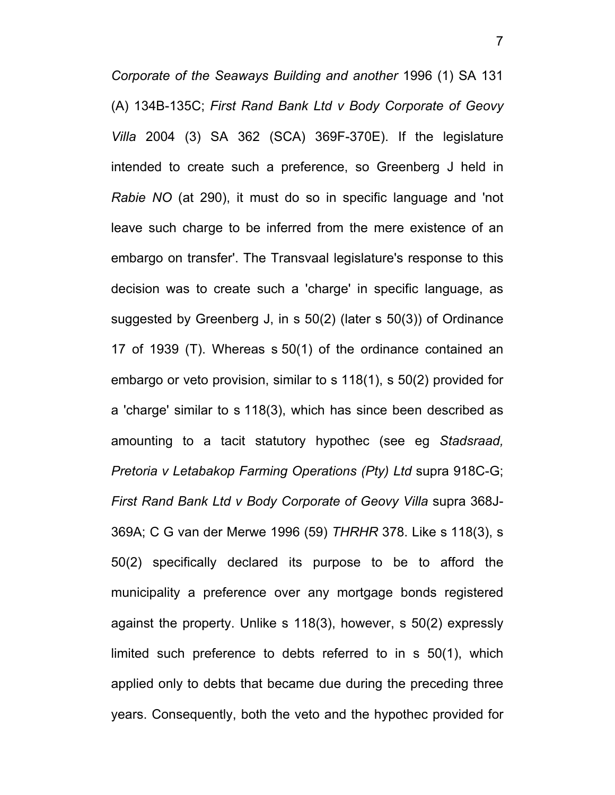*Corporate of the Seaways Building and another* 1996 (1) SA 131 (A) 134B-135C; *First Rand Bank Ltd v Body Corporate of Geovy Villa* 2004 (3) SA 362 (SCA) 369F-370E). If the legislature intended to create such a preference, so Greenberg J held in *Rabie NO* (at 290), it must do so in specific language and 'not leave such charge to be inferred from the mere existence of an embargo on transfer'. The Transvaal legislature's response to this decision was to create such a 'charge' in specific language, as suggested by Greenberg J, in s 50(2) (later s 50(3)) of Ordinance 17 of 1939 (T). Whereas s 50(1) of the ordinance contained an embargo or veto provision, similar to s 118(1), s 50(2) provided for a 'charge' similar to s 118(3), which has since been described as amounting to a tacit statutory hypothec (see eg *Stadsraad, Pretoria v Letabakop Farming Operations (Pty) Ltd* supra 918C-G; *First Rand Bank Ltd v Body Corporate of Geovy Villa* supra 368J-369A; C G van der Merwe 1996 (59) *THRHR* 378. Like s 118(3), s 50(2) specifically declared its purpose to be to afford the municipality a preference over any mortgage bonds registered against the property. Unlike s 118(3), however, s 50(2) expressly limited such preference to debts referred to in s 50(1), which applied only to debts that became due during the preceding three years. Consequently, both the veto and the hypothec provided for

7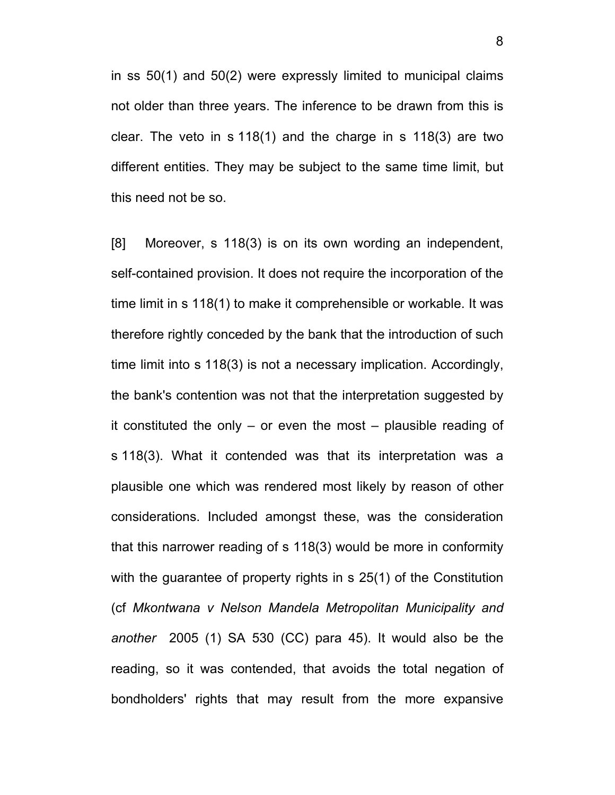in ss 50(1) and 50(2) were expressly limited to municipal claims not older than three years. The inference to be drawn from this is clear. The veto in s 118(1) and the charge in s 118(3) are two different entities. They may be subject to the same time limit, but this need not be so.

[8] Moreover, s 118(3) is on its own wording an independent, self-contained provision. It does not require the incorporation of the time limit in s 118(1) to make it comprehensible or workable. It was therefore rightly conceded by the bank that the introduction of such time limit into s 118(3) is not a necessary implication. Accordingly, the bank's contention was not that the interpretation suggested by it constituted the only – or even the most – plausible reading of s 118(3). What it contended was that its interpretation was a plausible one which was rendered most likely by reason of other considerations. Included amongst these, was the consideration that this narrower reading of s 118(3) would be more in conformity with the guarantee of property rights in s 25(1) of the Constitution (cf *Mkontwana v Nelson Mandela Metropolitan Municipality and another* 2005 (1) SA 530 (CC) para 45). It would also be the reading, so it was contended, that avoids the total negation of bondholders' rights that may result from the more expansive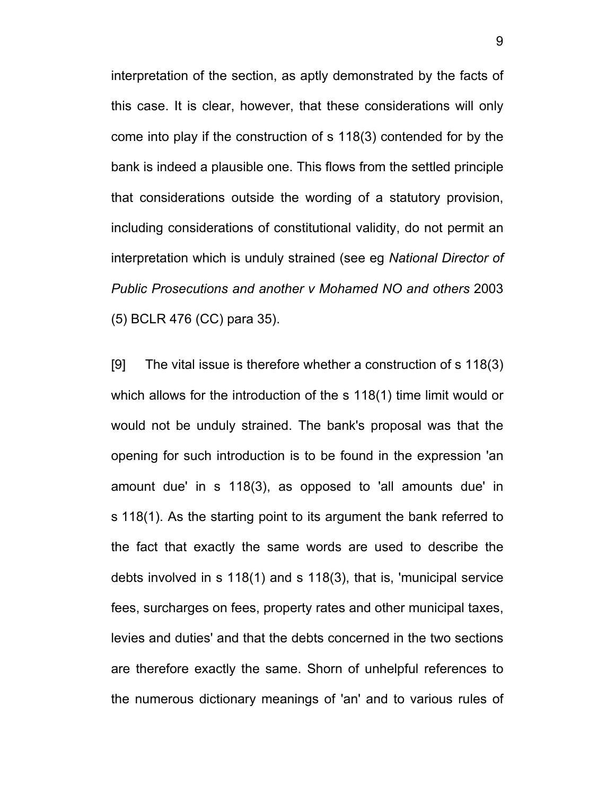interpretation of the section, as aptly demonstrated by the facts of this case. It is clear, however, that these considerations will only come into play if the construction of s 118(3) contended for by the bank is indeed a plausible one. This flows from the settled principle that considerations outside the wording of a statutory provision, including considerations of constitutional validity, do not permit an interpretation which is unduly strained (see eg *National Director of Public Prosecutions and another v Mohamed NO and others* 2003 (5) BCLR 476 (CC) para 35).

[9] The vital issue is therefore whether a construction of s 118(3) which allows for the introduction of the s 118(1) time limit would or would not be unduly strained. The bank's proposal was that the opening for such introduction is to be found in the expression 'an amount due' in s 118(3), as opposed to 'all amounts due' in s 118(1). As the starting point to its argument the bank referred to the fact that exactly the same words are used to describe the debts involved in s 118(1) and s 118(3), that is, 'municipal service fees, surcharges on fees, property rates and other municipal taxes, levies and duties' and that the debts concerned in the two sections are therefore exactly the same. Shorn of unhelpful references to the numerous dictionary meanings of 'an' and to various rules of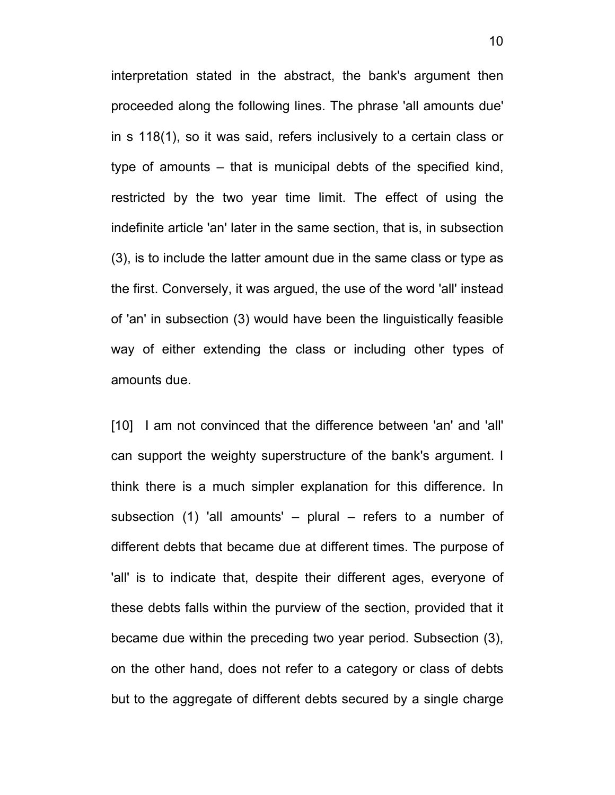interpretation stated in the abstract, the bank's argument then proceeded along the following lines. The phrase 'all amounts due' in s 118(1), so it was said, refers inclusively to a certain class or type of amounts – that is municipal debts of the specified kind, restricted by the two year time limit. The effect of using the indefinite article 'an' later in the same section, that is, in subsection (3), is to include the latter amount due in the same class or type as the first. Conversely, it was argued, the use of the word 'all' instead of 'an' in subsection (3) would have been the linguistically feasible way of either extending the class or including other types of amounts due.

[10] I am not convinced that the difference between 'an' and 'all' can support the weighty superstructure of the bank's argument. I think there is a much simpler explanation for this difference. In subsection  $(1)$  'all amounts' – plural – refers to a number of different debts that became due at different times. The purpose of 'all' is to indicate that, despite their different ages, everyone of these debts falls within the purview of the section, provided that it became due within the preceding two year period. Subsection (3), on the other hand, does not refer to a category or class of debts but to the aggregate of different debts secured by a single charge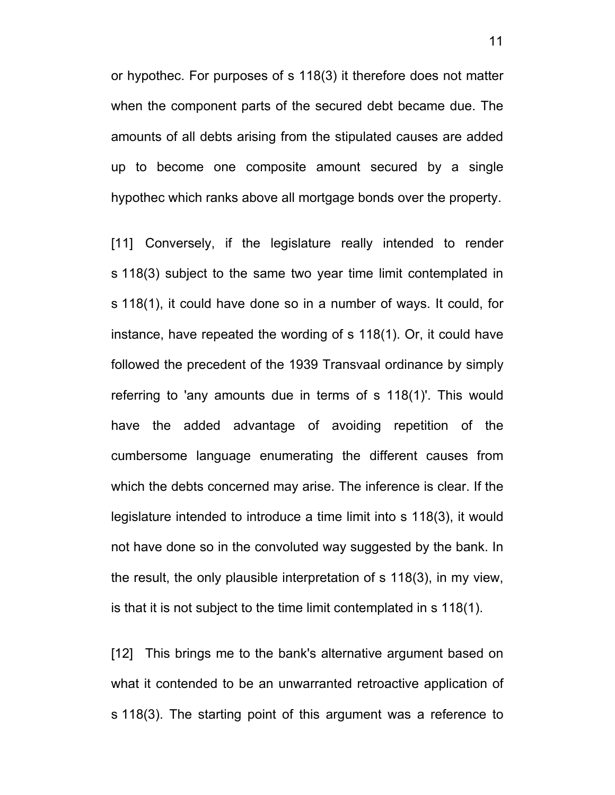or hypothec. For purposes of s 118(3) it therefore does not matter when the component parts of the secured debt became due. The amounts of all debts arising from the stipulated causes are added up to become one composite amount secured by a single hypothec which ranks above all mortgage bonds over the property.

[11] Conversely, if the legislature really intended to render s 118(3) subject to the same two year time limit contemplated in s 118(1), it could have done so in a number of ways. It could, for instance, have repeated the wording of s 118(1). Or, it could have followed the precedent of the 1939 Transvaal ordinance by simply referring to 'any amounts due in terms of s 118(1)'. This would have the added advantage of avoiding repetition of the cumbersome language enumerating the different causes from which the debts concerned may arise. The inference is clear. If the legislature intended to introduce a time limit into s 118(3), it would not have done so in the convoluted way suggested by the bank. In the result, the only plausible interpretation of s 118(3), in my view, is that it is not subject to the time limit contemplated in s 118(1).

[12] This brings me to the bank's alternative argument based on what it contended to be an unwarranted retroactive application of s 118(3). The starting point of this argument was a reference to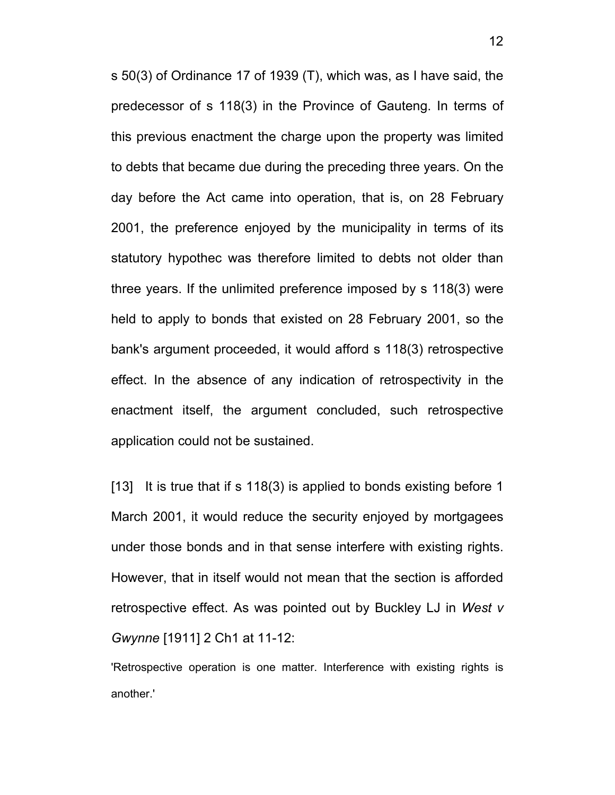s 50(3) of Ordinance 17 of 1939 (T), which was, as I have said, the predecessor of s 118(3) in the Province of Gauteng. In terms of this previous enactment the charge upon the property was limited to debts that became due during the preceding three years. On the day before the Act came into operation, that is, on 28 February 2001, the preference enjoyed by the municipality in terms of its statutory hypothec was therefore limited to debts not older than three years. If the unlimited preference imposed by s 118(3) were held to apply to bonds that existed on 28 February 2001, so the bank's argument proceeded, it would afford s 118(3) retrospective effect. In the absence of any indication of retrospectivity in the enactment itself, the argument concluded, such retrospective application could not be sustained.

[13] It is true that if s 118(3) is applied to bonds existing before 1 March 2001, it would reduce the security enjoyed by mortgagees under those bonds and in that sense interfere with existing rights. However, that in itself would not mean that the section is afforded retrospective effect. As was pointed out by Buckley LJ in *West v Gwynne* [1911] 2 Ch1 at 11-12:

'Retrospective operation is one matter. Interference with existing rights is another.'

12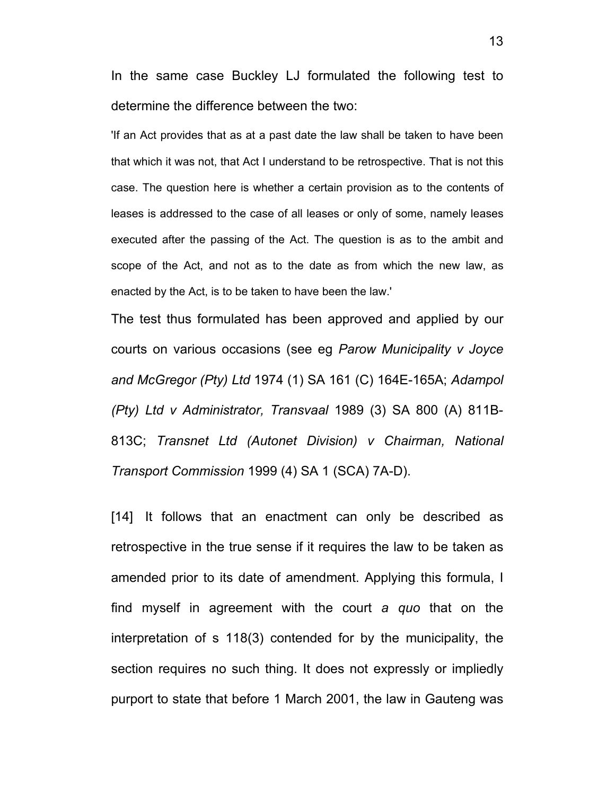In the same case Buckley LJ formulated the following test to determine the difference between the two:

'If an Act provides that as at a past date the law shall be taken to have been that which it was not, that Act I understand to be retrospective. That is not this case. The question here is whether a certain provision as to the contents of leases is addressed to the case of all leases or only of some, namely leases executed after the passing of the Act. The question is as to the ambit and scope of the Act, and not as to the date as from which the new law, as enacted by the Act, is to be taken to have been the law.'

The test thus formulated has been approved and applied by our courts on various occasions (see eg *Parow Municipality v Joyce and McGregor (Pty) Ltd* 1974 (1) SA 161 (C) 164E-165A; *Adampol (Pty) Ltd v Administrator, Transvaal* 1989 (3) SA 800 (A) 811B-813C; *Transnet Ltd (Autonet Division) v Chairman, National Transport Commission* 1999 (4) SA 1 (SCA) 7A-D).

[14] It follows that an enactment can only be described as retrospective in the true sense if it requires the law to be taken as amended prior to its date of amendment. Applying this formula, I find myself in agreement with the court *a quo* that on the interpretation of s 118(3) contended for by the municipality, the section requires no such thing. It does not expressly or impliedly purport to state that before 1 March 2001, the law in Gauteng was